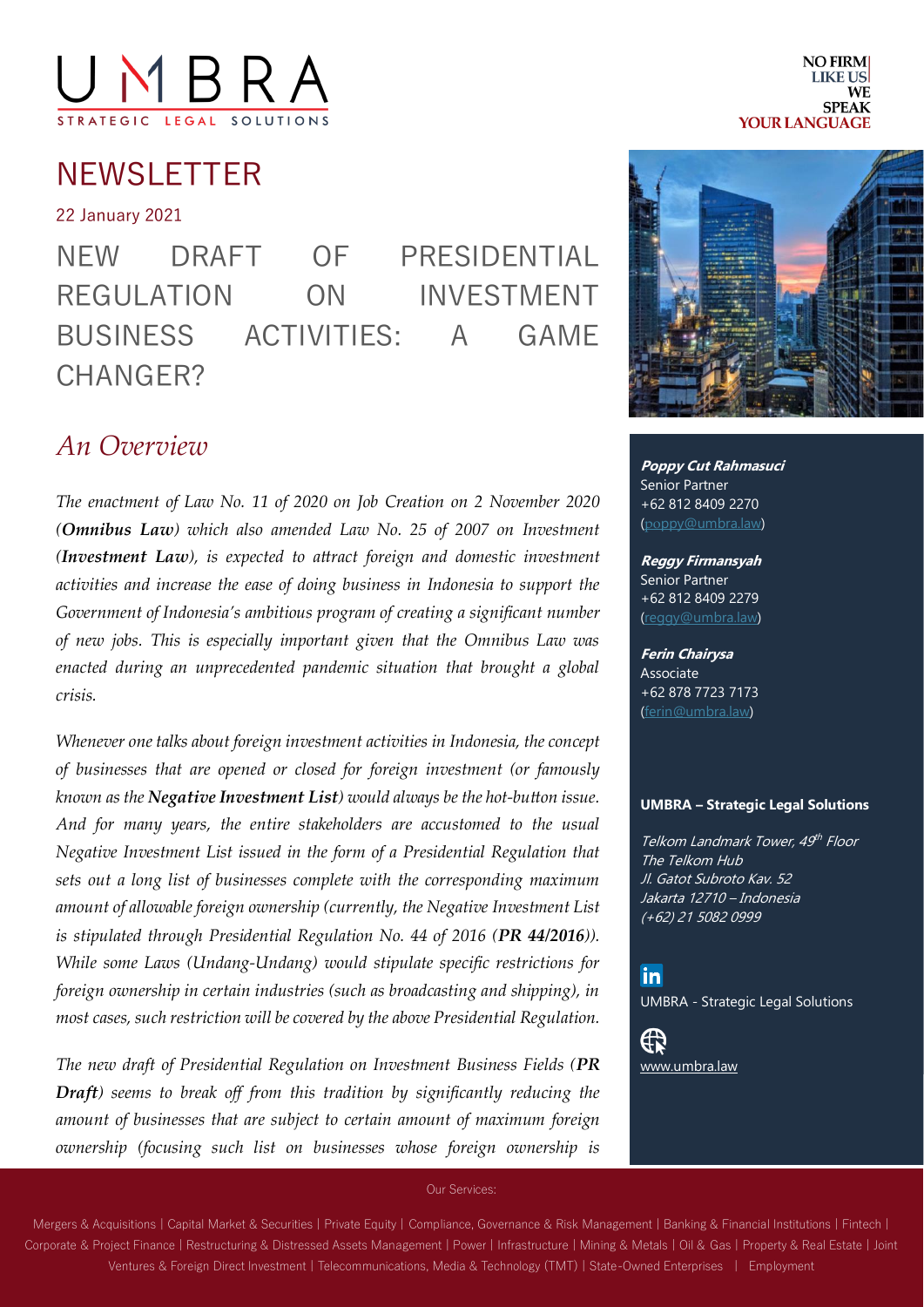# YBF

NEWSLETTER

22 January 2021

NEW DRAFT OF PRESIDENTIAL REGULATION ON INVESTMENT BUSINESS ACTIVITIES: A GAME CHANGER?

#### *An Overview*

*The enactment of Law No. 11 of 2020 on Job Creation on 2 November 2020 (Omnibus Law) which also amended Law No. 25 of 2007 on Investment (Investment Law), is expected to attract foreign and domestic investment activities and increase the ease of doing business in Indonesia to support the Government of Indonesia's ambitious program of creating a significant number of new jobs. This is especially important given that the Omnibus Law was enacted during an unprecedented pandemic situation that brought a global crisis.* 

*Whenever one talks about foreign investment activities in Indonesia, the concept of businesses that are opened or closed for foreign investment (or famously known as the Negative Investment List) would always be the hot-button issue. And for many years, the entire stakeholders are accustomed to the usual Negative Investment List issued in the form of a Presidential Regulation that sets out a long list of businesses complete with the corresponding maximum amount of allowable foreign ownership (currently, the Negative Investment List is stipulated through Presidential Regulation No. 44 of 2016 (PR 44/2016)). While some Laws (Undang-Undang) would stipulate specific restrictions for foreign ownership in certain industries (such as broadcasting and shipping), in most cases, such restriction will be covered by the above Presidential Regulation.* 

*The new draft of Presidential Regulation on Investment Business Fields (PR Draft) seems to break off from this tradition by significantly reducing the amount of businesses that are subject to certain amount of maximum foreign ownership (focusing such list on businesses whose foreign ownership is* 



**Poppy Cut Rahmasuci** Senior Partner +62 812 8409 2270 (poppy@umbra.law)

**Reggy Firmansyah** Senior Partner +62 812 8409 2279 (reggy@umbra.law)

**Ferin Chairysa** Associate +62 878 7723 7173 (ferin@umbra.law)

#### **UMBRA – Strategic Legal Solutions**

Telkom Landmark Tower, 49<sup>th</sup> Floor The Telkom Hub Jl. Gatot Subroto Kav. 52 Jakarta 12710 – Indonesia (+62) 21 5082 0999

<u>in</u> UMBRA - Strategic Legal Solutions

⊕ [www.umbra.law](http://www.umbra.law/)

Our Services:

Mergers & Acquisitions | Capital Market & Securities | Private Equity | Compliance, Governance & Risk Management | Banking & Financial Institutions | Fintech | Corporate & Project Finance | Restructuring & Distressed Assets Management | Power | Infrastructure | Mining & Metals | Oil & Gas | Property & Real Estate | Joint Ventures & Foreign Direct Investment | Telecommunications, Media & Technology (TMT) | State-Owned Enterprises | Employment

**NO FIRM LIKE US WF SPEAK YOUR LANGUAGE**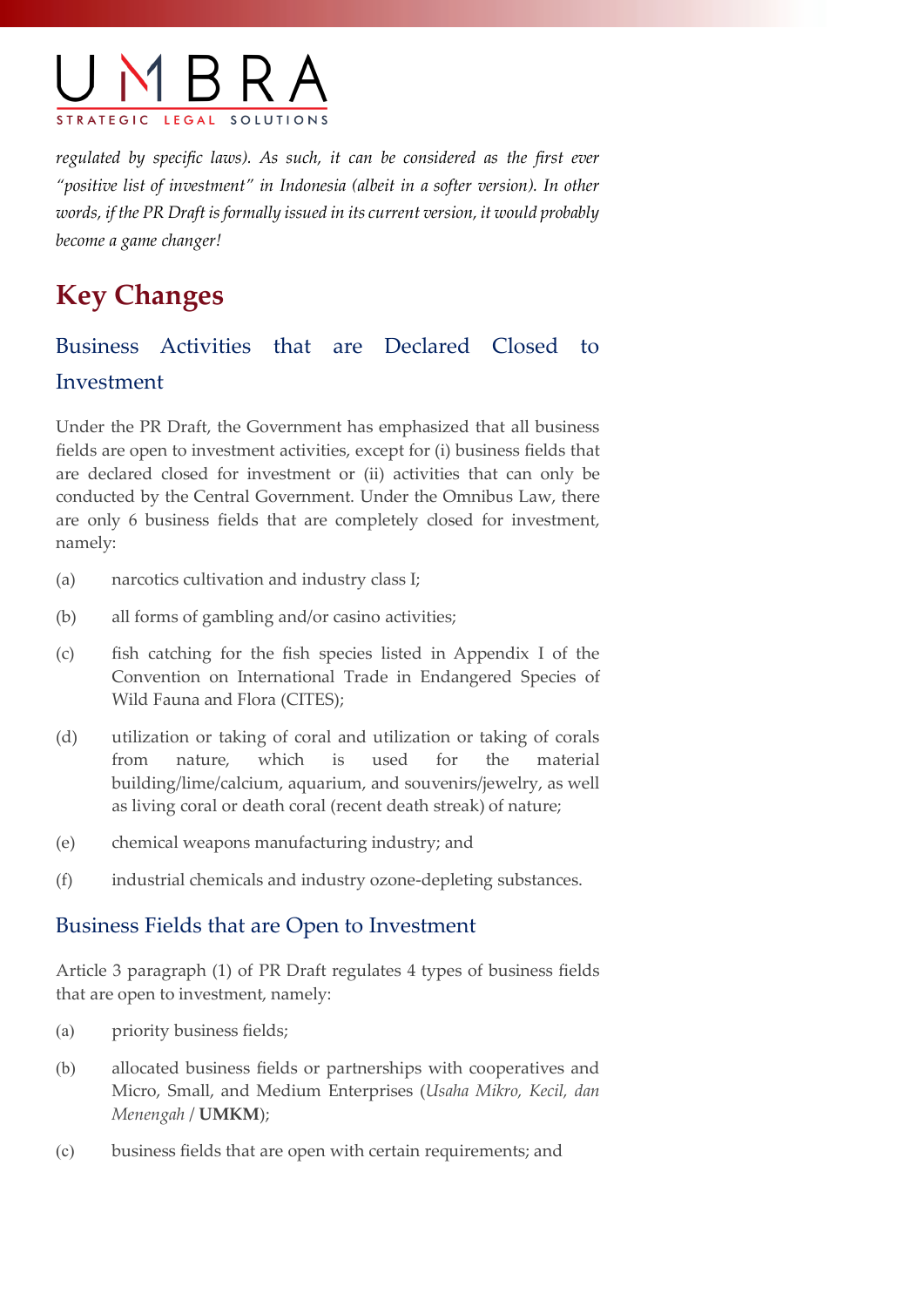

*regulated by specific laws). As such, it can be considered as the first ever "positive list of investment" in Indonesia (albeit in a softer version). In other words, if the PR Draft is formally issued in its current version, it would probably become a game changer!*

## **Key Changes**

#### Business Activities that are Declared Closed to Investment

Under the PR Draft, the Government has emphasized that all business fields are open to investment activities, except for (i) business fields that are declared closed for investment or (ii) activities that can only be conducted by the Central Government. Under the Omnibus Law, there are only 6 business fields that are completely closed for investment, namely:

- (a) narcotics cultivation and industry class I;
- (b) all forms of gambling and/or casino activities;
- (c) fish catching for the fish species listed in Appendix I of the Convention on International Trade in Endangered Species of Wild Fauna and Flora (CITES);
- (d) utilization or taking of coral and utilization or taking of corals from nature, which is used for the material building/lime/calcium, aquarium, and souvenirs/jewelry, as well as living coral or death coral (recent death streak) of nature;
- (e) chemical weapons manufacturing industry; and
- (f) industrial chemicals and industry ozone-depleting substances.

#### Business Fields that are Open to Investment

Article 3 paragraph (1) of PR Draft regulates 4 types of business fields that are open to investment, namely:

- (a) priority business fields;
- (b) allocated business fields or partnerships with cooperatives and Micro, Small, and Medium Enterprises (*Usaha Mikro, Kecil, dan Menengah* / **UMKM**);
- (c) business fields that are open with certain requirements; and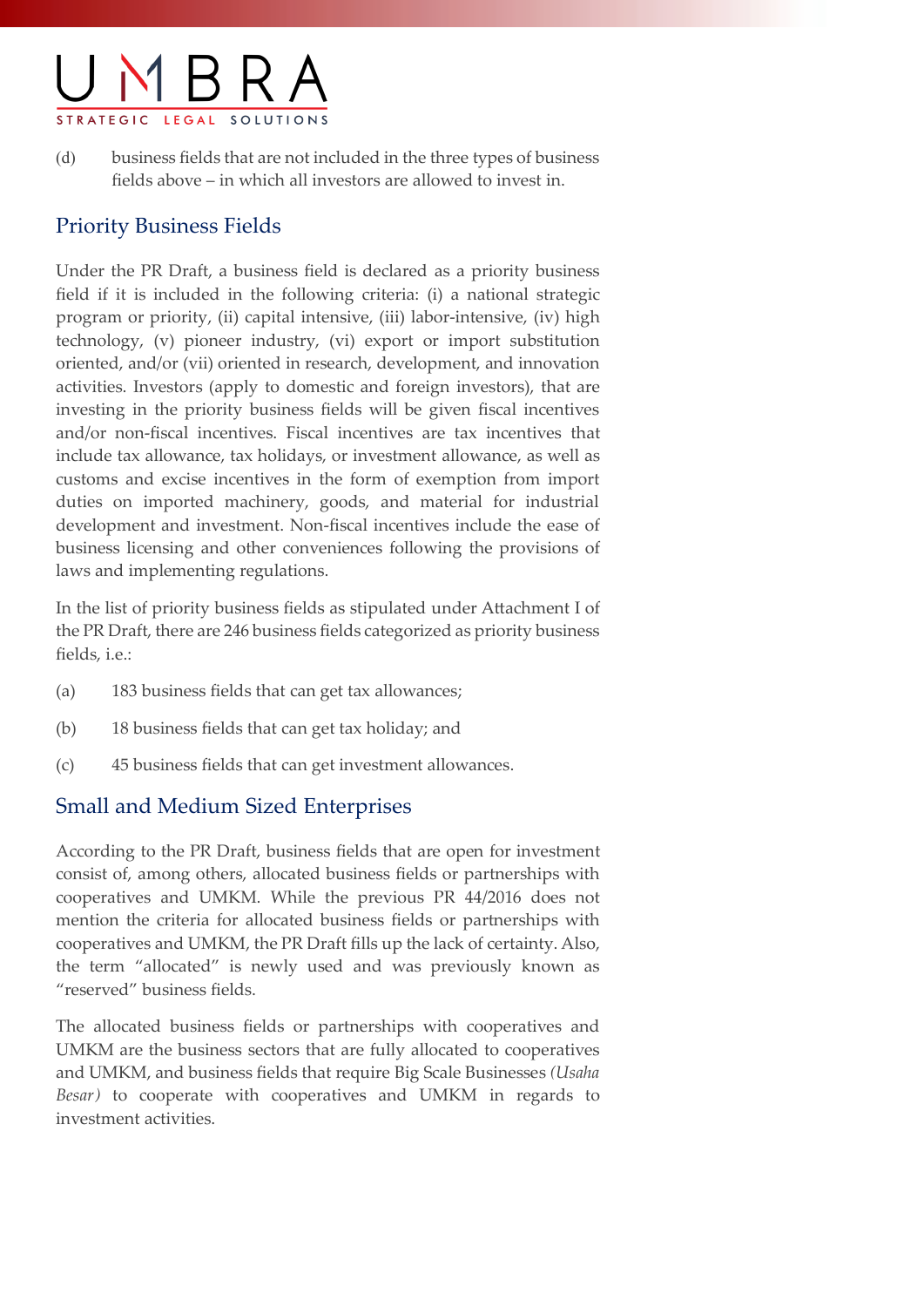

(d) business fields that are not included in the three types of business fields above – in which all investors are allowed to invest in.

#### Priority Business Fields

Under the PR Draft, a business field is declared as a priority business field if it is included in the following criteria: (i) a national strategic program or priority, (ii) capital intensive, (iii) labor-intensive, (iv) high technology, (v) pioneer industry, (vi) export or import substitution oriented, and/or (vii) oriented in research, development, and innovation activities. Investors (apply to domestic and foreign investors), that are investing in the priority business fields will be given fiscal incentives and/or non-fiscal incentives. Fiscal incentives are tax incentives that include tax allowance, tax holidays, or investment allowance, as well as customs and excise incentives in the form of exemption from import duties on imported machinery, goods, and material for industrial development and investment. Non-fiscal incentives include the ease of business licensing and other conveniences following the provisions of laws and implementing regulations.

In the list of priority business fields as stipulated under Attachment I of the PR Draft, there are 246 business fields categorized as priority business fields, i.e.:

- (a) 183 business fields that can get tax allowances;
- (b) 18 business fields that can get tax holiday; and
- (c) 45 business fields that can get investment allowances.

#### Small and Medium Sized Enterprises

According to the PR Draft, business fields that are open for investment consist of, among others, allocated business fields or partnerships with cooperatives and UMKM. While the previous PR 44/2016 does not mention the criteria for allocated business fields or partnerships with cooperatives and UMKM, the PR Draft fills up the lack of certainty. Also, the term "allocated" is newly used and was previously known as "reserved" business fields.

The allocated business fields or partnerships with cooperatives and UMKM are the business sectors that are fully allocated to cooperatives and UMKM, and business fields that require Big Scale Businesses *(Usaha Besar)* to cooperate with cooperatives and UMKM in regards to investment activities.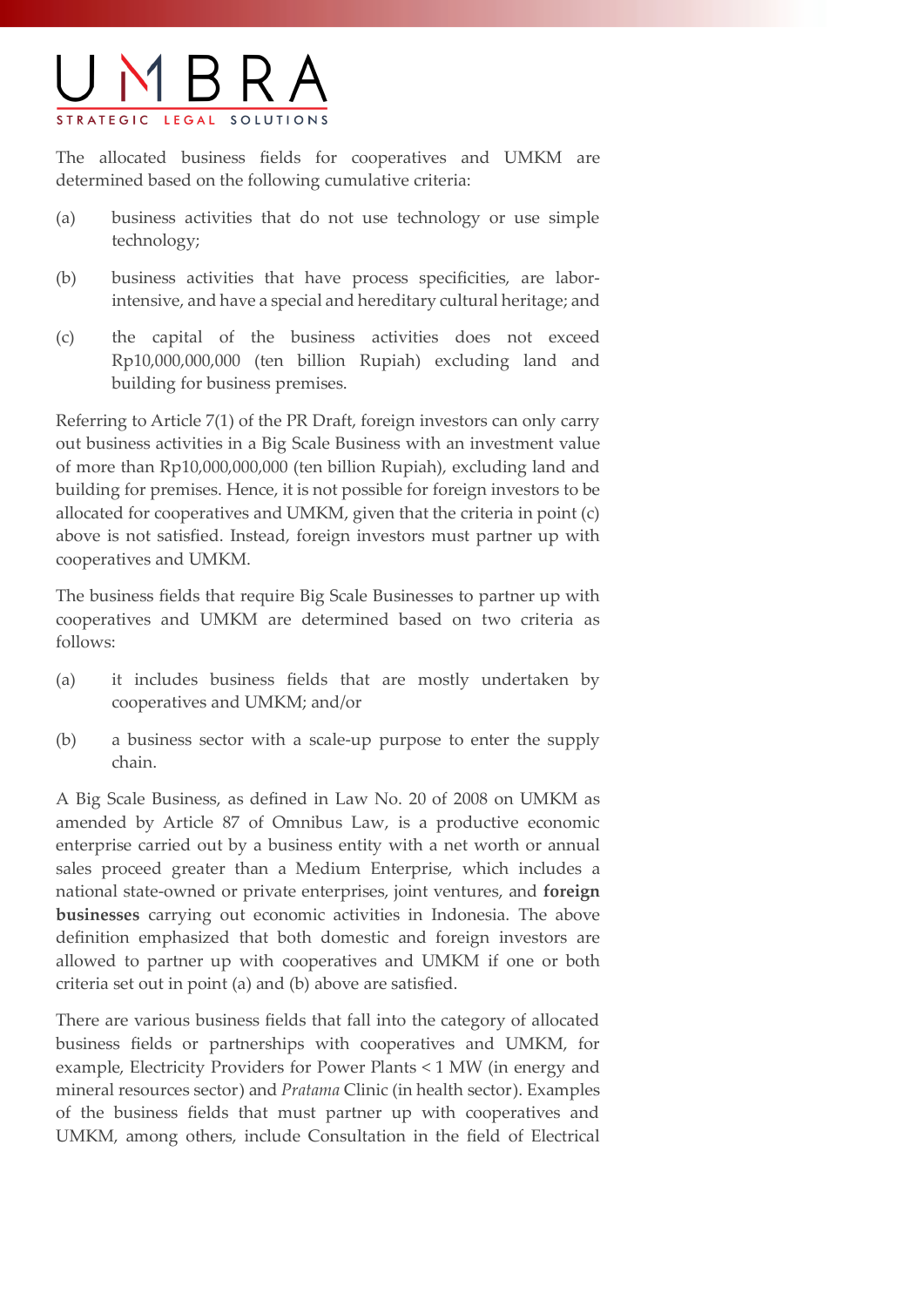

The allocated business fields for cooperatives and UMKM are determined based on the following cumulative criteria:

- (a) business activities that do not use technology or use simple technology;
- (b) business activities that have process specificities, are laborintensive, and have a special and hereditary cultural heritage; and
- (c) the capital of the business activities does not exceed Rp10,000,000,000 (ten billion Rupiah) excluding land and building for business premises.

Referring to Article 7(1) of the PR Draft, foreign investors can only carry out business activities in a Big Scale Business with an investment value of more than Rp10,000,000,000 (ten billion Rupiah), excluding land and building for premises. Hence, it is not possible for foreign investors to be allocated for cooperatives and UMKM, given that the criteria in point (c) above is not satisfied. Instead, foreign investors must partner up with cooperatives and UMKM.

The business fields that require Big Scale Businesses to partner up with cooperatives and UMKM are determined based on two criteria as follows:

- (a) it includes business fields that are mostly undertaken by cooperatives and UMKM; and/or
- (b) a business sector with a scale-up purpose to enter the supply chain.

A Big Scale Business, as defined in Law No. 20 of 2008 on UMKM as amended by Article 87 of Omnibus Law, is a productive economic enterprise carried out by a business entity with a net worth or annual sales proceed greater than a Medium Enterprise, which includes a national state-owned or private enterprises, joint ventures, and **foreign businesses** carrying out economic activities in Indonesia. The above definition emphasized that both domestic and foreign investors are allowed to partner up with cooperatives and UMKM if one or both criteria set out in point (a) and (b) above are satisfied.

There are various business fields that fall into the category of allocated business fields or partnerships with cooperatives and UMKM, for example, Electricity Providers for Power Plants < 1 MW (in energy and mineral resources sector) and *Pratama* Clinic (in health sector). Examples of the business fields that must partner up with cooperatives and UMKM, among others, include Consultation in the field of Electrical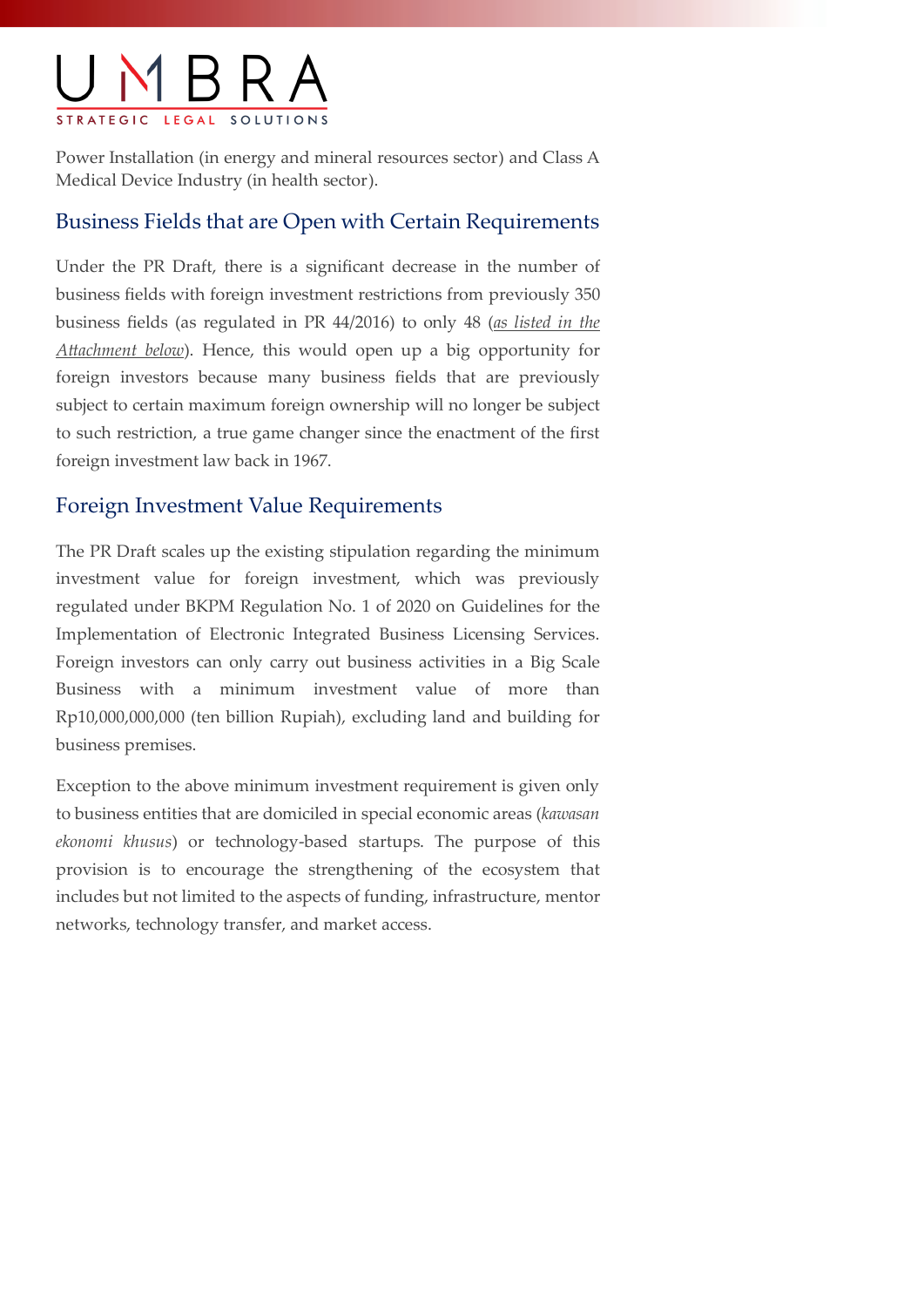

Power Installation (in energy and mineral resources sector) and Class A Medical Device Industry (in health sector).

#### Business Fields that are Open with Certain Requirements

Under the PR Draft, there is a significant decrease in the number of business fields with foreign investment restrictions from previously 350 business fields (as regulated in PR 44/2016) to only 48 (*as listed in the Attachment below*). Hence, this would open up a big opportunity for foreign investors because many business fields that are previously subject to certain maximum foreign ownership will no longer be subject to such restriction, a true game changer since the enactment of the first foreign investment law back in 1967.

#### Foreign Investment Value Requirements

The PR Draft scales up the existing stipulation regarding the minimum investment value for foreign investment, which was previously regulated under BKPM Regulation No. 1 of 2020 on Guidelines for the Implementation of Electronic Integrated Business Licensing Services. Foreign investors can only carry out business activities in a Big Scale Business with a minimum investment value of more than Rp10,000,000,000 (ten billion Rupiah), excluding land and building for business premises.

Exception to the above minimum investment requirement is given only to business entities that are domiciled in special economic areas (*kawasan ekonomi khusus*) or technology-based startups. The purpose of this provision is to encourage the strengthening of the ecosystem that includes but not limited to the aspects of funding, infrastructure, mentor networks, technology transfer, and market access.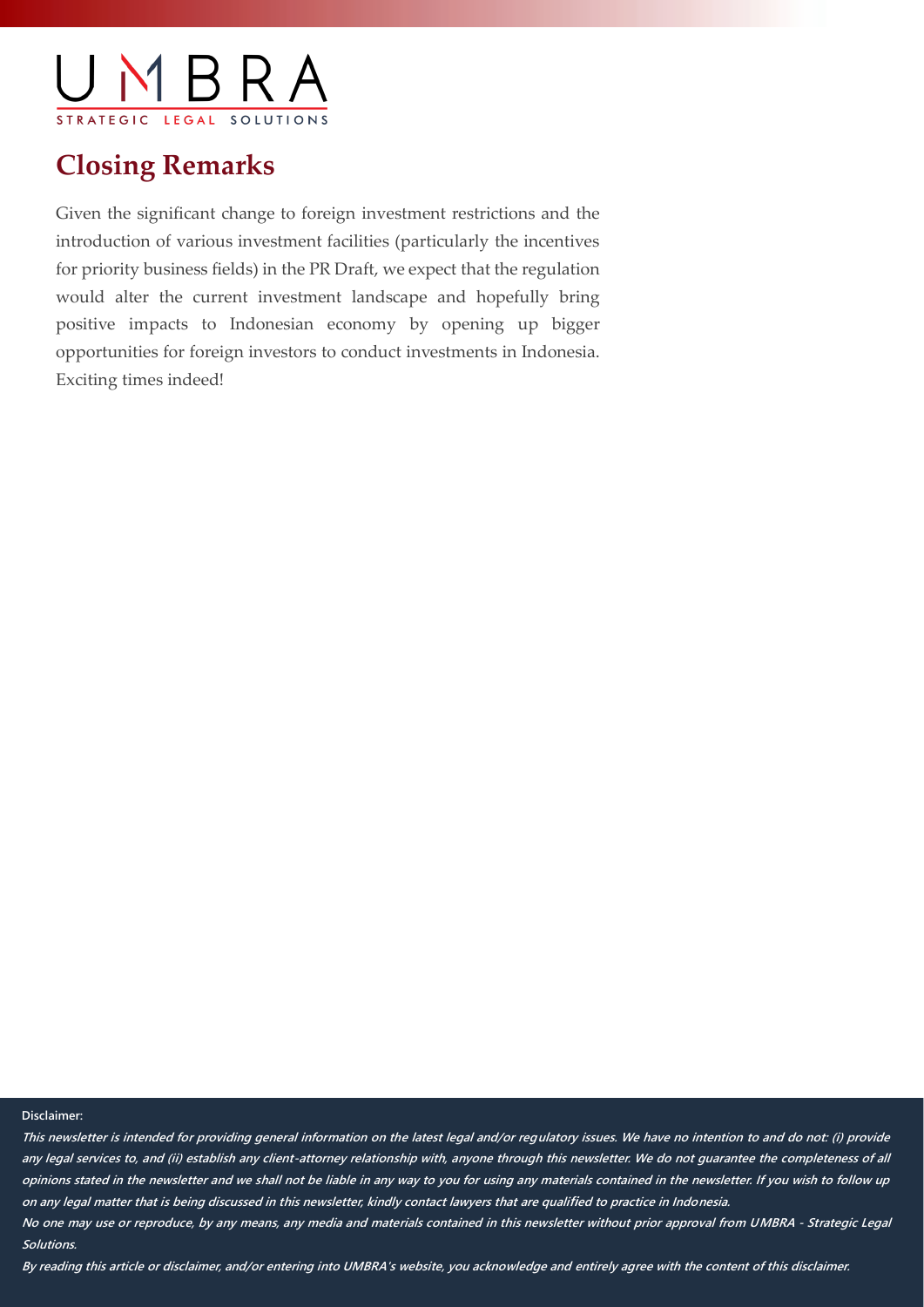$\triangleleft$   $\triangle$   $\triangle$   $\triangle$  $I. F. G. A. I.$ 

### **Closing Remarks**

Given the significant change to foreign investment restrictions and the introduction of various investment facilities (particularly the incentives for priority business fields) in the PR Draft, we expect that the regulation would alter the current investment landscape and hopefully bring positive impacts to Indonesian economy by opening up bigger opportunities for foreign investors to conduct investments in Indonesia. Exciting times indeed!

#### **Disclaimer:**

**This newsletter is intended for providing general information on the latest legal and/or regulatory issues. We have no intention to and do not: (i) provide any legal services to, and (ii) establish any client-attorney relationship with, anyone through this newsletter. We do not guarantee the completeness of all opinions stated in the newsletter and we shall not be liable in any way to you for using any materials contained in the newsletter. If you wish to follow up on any legal matter that is being discussed in this newsletter, kindly contact lawyers that are qualified to practice in Indonesia. No one may use or reproduce, by any means, any media and materials contained in this newsletter without prior approval from UMBRA - Strategic Legal Solutions.**

**By reading this article or disclaimer, and/or entering into UMBRA's website, you acknowledge and entirely agree with the content of this disclaimer.**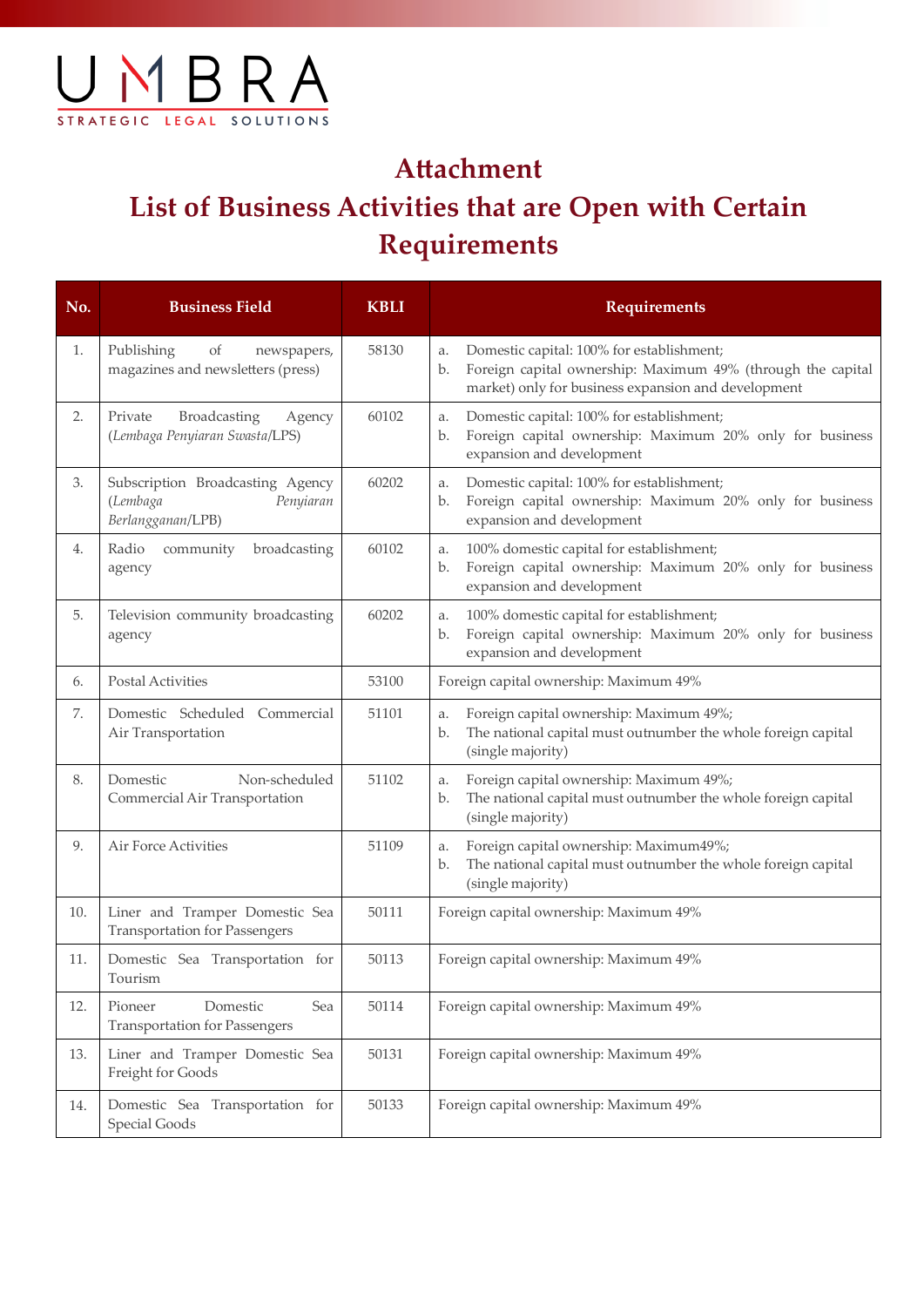

## **Attachment List of Business Activities that are Open with Certain Requirements**

| No. | <b>Business Field</b>                                                          | <b>KBLI</b> | <b>Requirements</b>                                                                                                                                                         |
|-----|--------------------------------------------------------------------------------|-------------|-----------------------------------------------------------------------------------------------------------------------------------------------------------------------------|
| 1.  | Publishing<br>of<br>newspapers,<br>magazines and newsletters (press)           | 58130       | Domestic capital: 100% for establishment;<br>a.<br>Foreign capital ownership: Maximum 49% (through the capital<br>b.<br>market) only for business expansion and development |
| 2.  | Broadcasting<br>Private<br>Agency<br>(Lembaga Penyiaran Swasta/LPS)            | 60102       | Domestic capital: 100% for establishment;<br>a.<br>Foreign capital ownership: Maximum 20% only for business<br>b.<br>expansion and development                              |
| 3.  | Subscription Broadcasting Agency<br>(Lembaga<br>Penyiaran<br>Berlangganan/LPB) | 60202       | Domestic capital: 100% for establishment;<br>a.<br>Foreign capital ownership: Maximum 20% only for business<br>b.<br>expansion and development                              |
| 4.  | Radio<br>community<br>broadcasting<br>agency                                   | 60102       | 100% domestic capital for establishment;<br>a.<br>Foreign capital ownership: Maximum 20% only for business<br>b.<br>expansion and development                               |
| 5.  | Television community broadcasting<br>agency                                    | 60202       | 100% domestic capital for establishment;<br>a.<br>Foreign capital ownership: Maximum 20% only for business<br>b.<br>expansion and development                               |
| 6.  | Postal Activities                                                              | 53100       | Foreign capital ownership: Maximum 49%                                                                                                                                      |
| 7.  | Domestic Scheduled Commercial<br>Air Transportation                            | 51101       | Foreign capital ownership: Maximum 49%;<br>a.<br>The national capital must outnumber the whole foreign capital<br>b.<br>(single majority)                                   |
| 8.  | Non-scheduled<br>Domestic<br>Commercial Air Transportation                     | 51102       | Foreign capital ownership: Maximum 49%;<br>a.<br>The national capital must outnumber the whole foreign capital<br>b.<br>(single majority)                                   |
| 9.  | Air Force Activities                                                           | 51109       | Foreign capital ownership: Maximum49%;<br>a.<br>The national capital must outnumber the whole foreign capital<br>b.<br>(single majority)                                    |
| 10. | Liner and Tramper Domestic Sea<br><b>Transportation for Passengers</b>         | 50111       | Foreign capital ownership: Maximum 49%                                                                                                                                      |
| 11. | Domestic Sea Transportation for<br>Tourism                                     | 50113       | Foreign capital ownership: Maximum 49%                                                                                                                                      |
| 12. | Domestic<br>Sea<br>Pioneer<br><b>Transportation for Passengers</b>             | 50114       | Foreign capital ownership: Maximum 49%                                                                                                                                      |
| 13. | Liner and Tramper Domestic Sea<br>Freight for Goods                            | 50131       | Foreign capital ownership: Maximum 49%                                                                                                                                      |
| 14. | Domestic Sea Transportation for<br>Special Goods                               | 50133       | Foreign capital ownership: Maximum 49%                                                                                                                                      |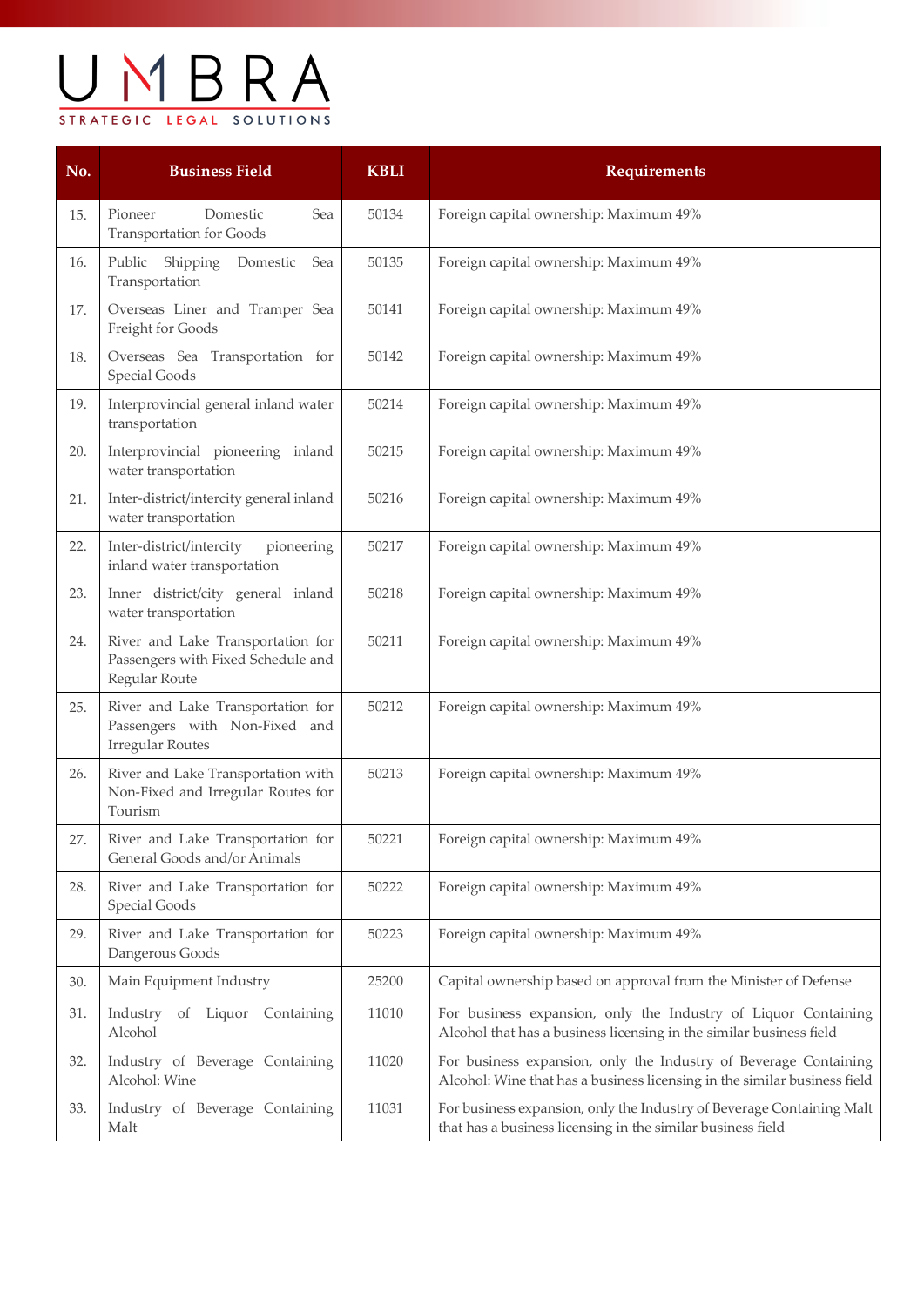# UMBRA STRATEGIC LEGAL SOLUTIONS

| No. | <b>Business Field</b>                                                                         | <b>KBLI</b> | <b>Requirements</b>                                                                                                                           |
|-----|-----------------------------------------------------------------------------------------------|-------------|-----------------------------------------------------------------------------------------------------------------------------------------------|
| 15. | Pioneer<br>Domestic<br>Sea<br><b>Transportation for Goods</b>                                 | 50134       | Foreign capital ownership: Maximum 49%                                                                                                        |
| 16. | Public<br>Shipping<br>Domestic<br>Sea<br>Transportation                                       | 50135       | Foreign capital ownership: Maximum 49%                                                                                                        |
| 17. | Overseas Liner and Tramper Sea<br>Freight for Goods                                           | 50141       | Foreign capital ownership: Maximum 49%                                                                                                        |
| 18. | Overseas Sea Transportation for<br><b>Special Goods</b>                                       | 50142       | Foreign capital ownership: Maximum 49%                                                                                                        |
| 19. | Interprovincial general inland water<br>transportation                                        | 50214       | Foreign capital ownership: Maximum 49%                                                                                                        |
| 20. | Interprovincial pioneering inland<br>water transportation                                     | 50215       | Foreign capital ownership: Maximum 49%                                                                                                        |
| 21. | Inter-district/intercity general inland<br>water transportation                               | 50216       | Foreign capital ownership: Maximum 49%                                                                                                        |
| 22. | Inter-district/intercity<br>pioneering<br>inland water transportation                         | 50217       | Foreign capital ownership: Maximum 49%                                                                                                        |
| 23. | Inner district/city general inland<br>water transportation                                    | 50218       | Foreign capital ownership: Maximum 49%                                                                                                        |
| 24. | River and Lake Transportation for<br>Passengers with Fixed Schedule and<br>Regular Route      | 50211       | Foreign capital ownership: Maximum 49%                                                                                                        |
| 25. | River and Lake Transportation for<br>Passengers with Non-Fixed and<br><b>Irregular Routes</b> | 50212       | Foreign capital ownership: Maximum 49%                                                                                                        |
| 26. | River and Lake Transportation with<br>Non-Fixed and Irregular Routes for<br>Tourism           | 50213       | Foreign capital ownership: Maximum 49%                                                                                                        |
| 27. | River and Lake Transportation for<br>General Goods and/or Animals                             | 50221       | Foreign capital ownership: Maximum 49%                                                                                                        |
| 28. | River and Lake Transportation for<br>Special Goods                                            | 50222       | Foreign capital ownership: Maximum 49%                                                                                                        |
| 29. | River and Lake Transportation for<br>Dangerous Goods                                          | 50223       | Foreign capital ownership: Maximum 49%                                                                                                        |
| 30. | Main Equipment Industry                                                                       | 25200       | Capital ownership based on approval from the Minister of Defense                                                                              |
| 31. | Industry of Liquor Containing<br>Alcohol                                                      | 11010       | For business expansion, only the Industry of Liquor Containing<br>Alcohol that has a business licensing in the similar business field         |
| 32. | Industry of Beverage Containing<br>Alcohol: Wine                                              | 11020       | For business expansion, only the Industry of Beverage Containing<br>Alcohol: Wine that has a business licensing in the similar business field |
| 33. | Industry of Beverage Containing<br>Malt                                                       | 11031       | For business expansion, only the Industry of Beverage Containing Malt<br>that has a business licensing in the similar business field          |